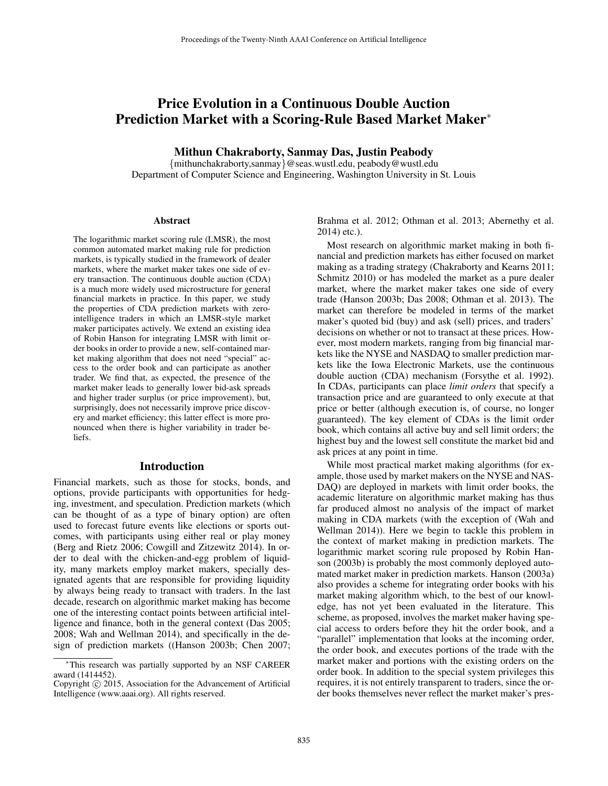# Price Evolution in a Continuous Double Auction Prediction Market with a Scoring-Rule Based Market Maker<sup>∗</sup>

Mithun Chakraborty, Sanmay Das, Justin Peabody

{mithunchakraborty,sanmay}@seas.wustl.edu, peabody@wustl.edu Department of Computer Science and Engineering, Washington University in St. Louis

#### Abstract

The logarithmic market scoring rule (LMSR), the most common automated market making rule for prediction markets, is typically studied in the framework of dealer markets, where the market maker takes one side of every transaction. The continuous double auction (CDA) is a much more widely used microstructure for general financial markets in practice. In this paper, we study the properties of CDA prediction markets with zerointelligence traders in which an LMSR-style market maker participates actively. We extend an existing idea of Robin Hanson for integrating LMSR with limit order books in order to provide a new, self-contained market making algorithm that does not need "special" access to the order book and can participate as another trader. We find that, as expected, the presence of the market maker leads to generally lower bid-ask spreads and higher trader surplus (or price improvement), but, surprisingly, does not necessarily improve price discovery and market efficiency; this latter effect is more pronounced when there is higher variability in trader beliefs.

#### Introduction

Financial markets, such as those for stocks, bonds, and options, provide participants with opportunities for hedging, investment, and speculation. Prediction markets (which can be thought of as a type of binary option) are often used to forecast future events like elections or sports outcomes, with participants using either real or play money (Berg and Rietz 2006; Cowgill and Zitzewitz 2014). In order to deal with the chicken-and-egg problem of liquidity, many markets employ market makers, specially designated agents that are responsible for providing liquidity by always being ready to transact with traders. In the last decade, research on algorithmic market making has become one of the interesting contact points between artificial intelligence and finance, both in the general context (Das 2005; 2008; Wah and Wellman 2014), and specifically in the design of prediction markets ((Hanson 2003b; Chen 2007;

Brahma et al. 2012; Othman et al. 2013; Abernethy et al. 2014) etc.).

Most research on algorithmic market making in both financial and prediction markets has either focused on market making as a trading strategy (Chakraborty and Kearns 2011; Schmitz 2010) or has modeled the market as a pure dealer market, where the market maker takes one side of every trade (Hanson 2003b; Das 2008; Othman et al. 2013). The market can therefore be modeled in terms of the market maker's quoted bid (buy) and ask (sell) prices, and traders' decisions on whether or not to transact at these prices. However, most modern markets, ranging from big financial markets like the NYSE and NASDAQ to smaller prediction markets like the Iowa Electronic Markets, use the continuous double auction (CDA) mechanism (Forsythe et al. 1992). In CDAs, participants can place *limit orders* that specify a transaction price and are guaranteed to only execute at that price or better (although execution is, of course, no longer guaranteed). The key element of CDAs is the limit order book, which contains all active buy and sell limit orders; the highest buy and the lowest sell constitute the market bid and ask prices at any point in time.

While most practical market making algorithms (for example, those used by market makers on the NYSE and NAS-DAQ) are deployed in markets with limit order books, the academic literature on algorithmic market making has thus far produced almost no analysis of the impact of market making in CDA markets (with the exception of (Wah and Wellman 2014)). Here we begin to tackle this problem in the context of market making in prediction markets. The logarithmic market scoring rule proposed by Robin Hanson (2003b) is probably the most commonly deployed automated market maker in prediction markets. Hanson (2003a) also provides a scheme for integrating order books with his market making algorithm which, to the best of our knowledge, has not yet been evaluated in the literature. This scheme, as proposed, involves the market maker having special access to orders before they hit the order book, and a "parallel" implementation that looks at the incoming order, the order book, and executes portions of the trade with the market maker and portions with the existing orders on the order book. In addition to the special system privileges this requires, it is not entirely transparent to traders, since the order books themselves never reflect the market maker's pres-

<sup>∗</sup>This research was partially supported by an NSF CAREER award (1414452).

Copyright © 2015, Association for the Advancement of Artificial Intelligence (www.aaai.org). All rights reserved.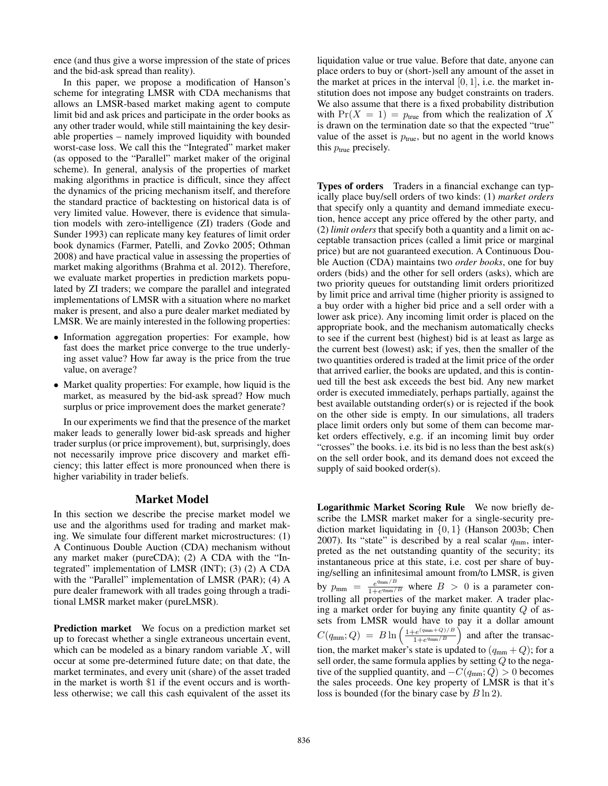ence (and thus give a worse impression of the state of prices and the bid-ask spread than reality).

In this paper, we propose a modification of Hanson's scheme for integrating LMSR with CDA mechanisms that allows an LMSR-based market making agent to compute limit bid and ask prices and participate in the order books as any other trader would, while still maintaining the key desirable properties – namely improved liquidity with bounded worst-case loss. We call this the "Integrated" market maker (as opposed to the "Parallel" market maker of the original scheme). In general, analysis of the properties of market making algorithms in practice is difficult, since they affect the dynamics of the pricing mechanism itself, and therefore the standard practice of backtesting on historical data is of very limited value. However, there is evidence that simulation models with zero-intelligence (ZI) traders (Gode and Sunder 1993) can replicate many key features of limit order book dynamics (Farmer, Patelli, and Zovko 2005; Othman 2008) and have practical value in assessing the properties of market making algorithms (Brahma et al. 2012). Therefore, we evaluate market properties in prediction markets populated by ZI traders; we compare the parallel and integrated implementations of LMSR with a situation where no market maker is present, and also a pure dealer market mediated by LMSR. We are mainly interested in the following properties:

- Information aggregation properties: For example, how fast does the market price converge to the true underlying asset value? How far away is the price from the true value, on average?
- Market quality properties: For example, how liquid is the market, as measured by the bid-ask spread? How much surplus or price improvement does the market generate?

In our experiments we find that the presence of the market maker leads to generally lower bid-ask spreads and higher trader surplus (or price improvement), but, surprisingly, does not necessarily improve price discovery and market efficiency; this latter effect is more pronounced when there is higher variability in trader beliefs.

## Market Model

In this section we describe the precise market model we use and the algorithms used for trading and market making. We simulate four different market microstructures: (1) A Continuous Double Auction (CDA) mechanism without any market maker (pureCDA); (2) A CDA with the "Integrated" implementation of LMSR (INT); (3) (2) A CDA with the "Parallel" implementation of LMSR (PAR); (4) A pure dealer framework with all trades going through a traditional LMSR market maker (pureLMSR).

Prediction market We focus on a prediction market set up to forecast whether a single extraneous uncertain event, which can be modeled as a binary random variable  $X$ , will occur at some pre-determined future date; on that date, the market terminates, and every unit (share) of the asset traded in the market is worth \$1 if the event occurs and is worthless otherwise; we call this cash equivalent of the asset its liquidation value or true value. Before that date, anyone can place orders to buy or (short-)sell any amount of the asset in the market at prices in the interval  $[0, 1]$ , i.e. the market institution does not impose any budget constraints on traders. We also assume that there is a fixed probability distribution with  $Pr(X = 1) = p_{true}$  from which the realization of X is drawn on the termination date so that the expected "true" value of the asset is  $p_{true}$ , but no agent in the world knows this  $p_{true}$  precisely.

Types of orders Traders in a financial exchange can typically place buy/sell orders of two kinds: (1) *market orders* that specify only a quantity and demand immediate execution, hence accept any price offered by the other party, and (2) *limit orders* that specify both a quantity and a limit on acceptable transaction prices (called a limit price or marginal price) but are not guaranteed execution. A Continuous Double Auction (CDA) maintains two *order books*, one for buy orders (bids) and the other for sell orders (asks), which are two priority queues for outstanding limit orders prioritized by limit price and arrival time (higher priority is assigned to a buy order with a higher bid price and a sell order with a lower ask price). Any incoming limit order is placed on the appropriate book, and the mechanism automatically checks to see if the current best (highest) bid is at least as large as the current best (lowest) ask; if yes, then the smaller of the two quantities ordered is traded at the limit price of the order that arrived earlier, the books are updated, and this is continued till the best ask exceeds the best bid. Any new market order is executed immediately, perhaps partially, against the best available outstanding order(s) or is rejected if the book on the other side is empty. In our simulations, all traders place limit orders only but some of them can become market orders effectively, e.g. if an incoming limit buy order "crosses" the books. i.e. its bid is no less than the best ask(s) on the sell order book, and its demand does not exceed the supply of said booked order(s).

Logarithmic Market Scoring Rule We now briefly describe the LMSR market maker for a single-security prediction market liquidating in {0, 1} (Hanson 2003b; Chen 2007). Its "state" is described by a real scalar  $q_{mn}$ , interpreted as the net outstanding quantity of the security; its instantaneous price at this state, i.e. cost per share of buying/selling an infinitesimal amount from/to LMSR, is given by  $p_{\text{mm}} = \frac{e^{q_{\text{mm}}/B}}{1 + e^{q_{\text{mm}}/B}}$  $\frac{e^{q_{\text{mmin}}/B}}{1+e^{q_{\text{mmin}}/B}}$  where  $B > 0$  is a parameter controlling all properties of the market maker. A trader placing a market order for buying any finite quantity  $Q$  of assets from LMSR would have to pay it a dollar amount  $C(q_{\text{mm}};Q) = B \ln \left( \frac{1 + e^{(q_{\text{mm}} + Q)/B}}{1 + e^{q_{\text{mm}}/B}} \right)$  $\frac{e^{(q_{\text{mm}}+Q)/B}}{1+e^{q_{\text{mm}}/B}}$  and after the transaction, the market maker's state is updated to  $(q_{mm} + Q)$ ; for a sell order, the same formula applies by setting Q to the negative of the supplied quantity, and  $-C(q_{mm}; Q) > 0$  becomes the sales proceeds. One key property of LMSR is that it's loss is bounded (for the binary case by  $B \ln 2$ ).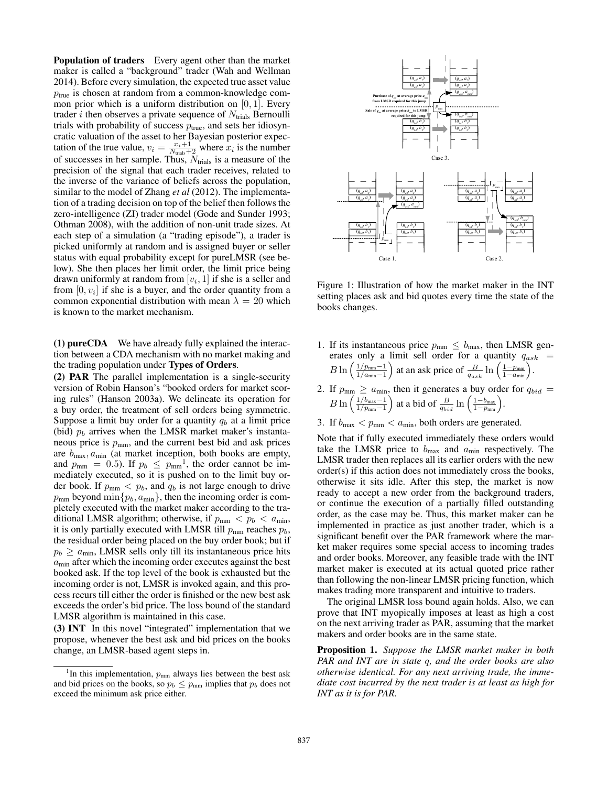Population of traders Every agent other than the market maker is called a "background" trader (Wah and Wellman 2014). Before every simulation, the expected true asset value  $p_{true}$  is chosen at random from a common-knowledge common prior which is a uniform distribution on  $[0, 1]$ . Every trader *i* then observes a private sequence of  $N_{\text{trials}}$  Bernoulli trials with probability of success  $p_{true}$ , and sets her idiosyncratic valuation of the asset to her Bayesian posterior expectation of the true value,  $v_i = \frac{x_i+1}{N_{\text{trials}}+2}$  where  $x_i$  is the number of successes in her sample. Thus,  $N<sub>trials</sub>$  is a measure of the precision of the signal that each trader receives, related to the inverse of the variance of beliefs across the population, similar to the model of Zhang *et al* (2012). The implementation of a trading decision on top of the belief then follows the zero-intelligence (ZI) trader model (Gode and Sunder 1993; Othman 2008), with the addition of non-unit trade sizes. At each step of a simulation (a "trading episode"), a trader is picked uniformly at random and is assigned buyer or seller status with equal probability except for pureLMSR (see below). She then places her limit order, the limit price being drawn uniformly at random from  $[v_i, 1]$  if she is a seller and from  $[0, v_i]$  if she is a buyer, and the order quantity from a common exponential distribution with mean  $\lambda = 20$  which is known to the market mechanism.

(1) pureCDA We have already fully explained the interaction between a CDA mechanism with no market making and the trading population under Types of Orders.

(2) PAR The parallel implementation is a single-security version of Robin Hanson's "booked orders for market scoring rules" (Hanson 2003a). We delineate its operation for a buy order, the treatment of sell orders being symmetric. Suppose a limit buy order for a quantity  $q_b$  at a limit price (bid)  $p_b$  arrives when the LMSR market maker's instantaneous price is  $p_{\text{mm}}$ , and the current best bid and ask prices are  $b_{\text{max}}$ ,  $a_{\text{min}}$  (at market inception, both books are empty, and  $p_{\text{mm}} = 0.5$ . If  $p_b \le p_{\text{mm}}^{-1}$ , the order cannot be immediately executed, so it is pushed on to the limit buy order book. If  $p_{\text{mm}} < p_b$ , and  $q_b$  is not large enough to drive  $p_{\text{mm}}$  beyond  $\min\{p_b, a_{\text{min}}\}$ , then the incoming order is completely executed with the market maker according to the traditional LMSR algorithm; otherwise, if  $p_{\text{mm}} < p_b < a_{\text{min}}$ , it is only partially executed with LMSR till  $p_{\text{mm}}$  reaches  $p_b$ , the residual order being placed on the buy order book; but if  $p_b \ge a_{\text{min}}$ , LMSR sells only till its instantaneous price hits  $a<sub>min</sub>$  after which the incoming order executes against the best booked ask. If the top level of the book is exhausted but the incoming order is not, LMSR is invoked again, and this process recurs till either the order is finished or the new best ask exceeds the order's bid price. The loss bound of the standard LMSR algorithm is maintained in this case.

(3) INT In this novel "integrated" implementation that we propose, whenever the best ask and bid prices on the books change, an LMSR-based agent steps in.



Figure 1: Illustration of how the market maker in the INT setting places ask and bid quotes every time the state of the books changes.

- 1. If its instantaneous price  $p_{\text{mm}} \leq b_{\text{max}}$ , then LMSR generates only a limit sell order for a quantity  $q_{ask}$  =  $B\ln\left(\frac{1/p_{\text{mm}}-1}{1/a_{\text{m}}-1}\right)$  $\frac{1/p_{\text{mm}}-1}{1/a_{\text{min}}-1}$  at an ask price of  $\frac{B}{q_{ask}} \ln\left(\frac{1-p_{\text{mm}}}{1-a_{\text{min}}}\right)$ .
- 2. If  $p_{\text{mm}} \ge a_{\text{min}}$ , then it generates a buy order for  $q_{bid} =$  $B \ln \left( \frac{1/b_{\text{max}}-1}{1/n_{\text{max}}-1} \right)$  $\frac{1/b_{\text{max}}-1}{1/p_{\text{min}}-1}$  at a bid of  $\frac{B}{q_{bid}} \ln\left(\frac{1-b_{\text{max}}}{1-p_{\text{min}}}\right)$ .
- 3. If  $b_{\text{max}} < p_{\text{mm}} < a_{\text{min}}$ , both orders are generated.

Note that if fully executed immediately these orders would take the LMSR price to  $b_{\text{max}}$  and  $a_{\text{min}}$  respectively. The LMSR trader then replaces all its earlier orders with the new order(s) if this action does not immediately cross the books, otherwise it sits idle. After this step, the market is now ready to accept a new order from the background traders, or continue the execution of a partially filled outstanding order, as the case may be. Thus, this market maker can be implemented in practice as just another trader, which is a significant benefit over the PAR framework where the market maker requires some special access to incoming trades and order books. Moreover, any feasible trade with the INT market maker is executed at its actual quoted price rather than following the non-linear LMSR pricing function, which makes trading more transparent and intuitive to traders.

The original LMSR loss bound again holds. Also, we can prove that INT myopically imposes at least as high a cost on the next arriving trader as PAR, assuming that the market makers and order books are in the same state.

Proposition 1. *Suppose the LMSR market maker in both PAR and INT are in state* q*, and the order books are also otherwise identical. For any next arriving trade, the immediate cost incurred by the next trader is at least as high for INT as it is for PAR.*

<sup>&</sup>lt;sup>1</sup>In this implementation,  $p_{mm}$  always lies between the best ask and bid prices on the books, so  $p_b \leq p_{\text{mm}}$  implies that  $p_b$  does not exceed the minimum ask price either.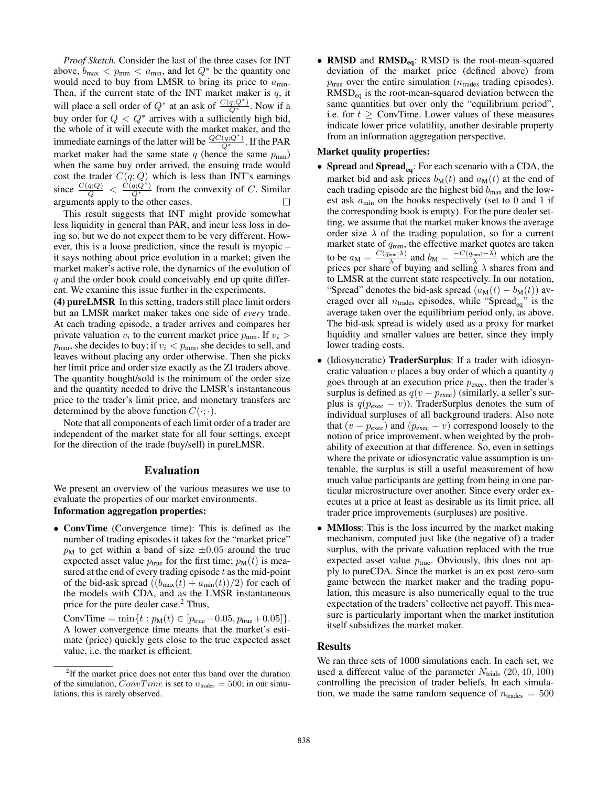*Proof Sketch.* Consider the last of the three cases for INT above,  $b_{\text{max}} < p_{\text{mm}} < a_{\text{min}}$ , and let  $Q^*$  be the quantity one would need to buy from LMSR to bring its price to  $a_{\text{min}}$ . Then, if the current state of the INT market maker is  $q$ , it will place a sell order of  $Q^*$  at an ask of  $\frac{C(q;Q^*)}{Q^*}$ . Now if a buy order for  $Q < Q^*$  arrives with a sufficiently high bid, the whole of it will execute with the market maker, and the immediate earnings of the latter will be  $\frac{QC(q;Q^*)}{Q^*}$ . If the PAR market maker had the same state  $q$  (hence the same  $p_{mm}$ ) when the same buy order arrived, the ensuing trade would cost the trader  $C(q; Q)$  which is less than INT's earnings since  $\frac{C(q;Q)}{Q} < \frac{\tilde{C}(q;Q^*)}{Q^*}$  from the convexity of C. Similar arguments apply to the other cases.

This result suggests that INT might provide somewhat less liquidity in general than PAR, and incur less loss in doing so, but we do not expect them to be very different. However, this is a loose prediction, since the result is myopic – it says nothing about price evolution in a market; given the market maker's active role, the dynamics of the evolution of  $q$  and the order book could conceivably end up quite different. We examine this issue further in the experiments.

(4) pureLMSR In this setting, traders still place limit orders but an LMSR market maker takes one side of *every* trade. At each trading episode, a trader arrives and compares her private valuation  $v_i$  to the current market price  $p_{mm}$ . If  $v_i >$  $p_{\text{mm}}$ , she decides to buy; if  $v_i < p_{\text{mm}}$ , she decides to sell, and leaves without placing any order otherwise. Then she picks her limit price and order size exactly as the ZI traders above. The quantity bought/sold is the minimum of the order size and the quantity needed to drive the LMSR's instantaneous price to the trader's limit price, and monetary transfers are determined by the above function  $C(\cdot; \cdot)$ .

Note that all components of each limit order of a trader are independent of the market state for all four settings, except for the direction of the trade (buy/sell) in pureLMSR.

## Evaluation

We present an overview of the various measures we use to evaluate the properties of our market environments. Information aggregation properties:

• ConvTime (Convergence time): This is defined as the number of trading episodes it takes for the "market price"  $p_M$  to get within a band of size  $\pm 0.05$  around the true expected asset value  $p_{true}$  for the first time;  $p_M(t)$  is measured at the end of every trading episode  $t$  as the mid-point of the bid-ask spread  $((b_{\text{max}}(t) + a_{\text{min}}(t))/2)$  for each of the models with CDA, and as the LMSR instantaneous price for the pure dealer case.<sup>2</sup> Thus,

ConvTime =  $\min\{t : p_M(t) \in [p_{true}-0.05, p_{true}+0.05]\}.$ A lower convergence time means that the market's estimate (price) quickly gets close to the true expected asset value, i.e. the market is efficient.

• RMSD and RMSD<sub>eq</sub>: RMSD is the root-mean-squared deviation of the market price (defined above) from  $p_{true}$  over the entire simulation ( $n_{trades}$  trading episodes).  $RMSD<sub>eq</sub>$  is the root-mean-squared deviation between the same quantities but over only the "equilibrium period", i.e. for  $t \geq$  ConvTime. Lower values of these measures indicate lower price volatility, another desirable property from an information aggregation perspective.

# Market quality properties:

- Spread and Spread<sub>eq</sub>: For each scenario with a CDA, the market bid and ask prices  $b_M(t)$  and  $a_M(t)$  at the end of each trading episode are the highest bid  $b_{\text{max}}$  and the lowest ask  $a_{\text{min}}$  on the books respectively (set to 0 and 1 if the corresponding book is empty). For the pure dealer setting, we assume that the market maker knows the average order size  $\lambda$  of the trading population, so for a current market state of  $q_{\text{mm}}$ , the effective market quotes are taken to be  $a_M = \frac{C(q_{mm};\lambda)}{\lambda}$  and  $b_M = \frac{-C(q_{mm};-\lambda)}{m}$  which are the prices per share of buying and selling  $\lambda$  shares from and to LMSR at the current state respectively. In our notation, "Spread" denotes the bid-ask spread  $(a_M(t) - b_M(t))$  averaged over all  $n_{\text{trades}}$  episodes, while "Spread<sub>eq</sub>" is the average taken over the equilibrium period only, as above. The bid-ask spread is widely used as a proxy for market liquidity and smaller values are better, since they imply lower trading costs.
- (Idiosyncratic) TraderSurplus: If a trader with idiosyncratic valuation  $v$  places a buy order of which a quantity  $q$ goes through at an execution price  $p_{\text{exec}}$ , then the trader's surplus is defined as  $q(v - p_{\text{exec}})$  (similarly, a seller's surplus is  $q(p_{\text{exec}} - v)$ ). TraderSurplus denotes the sum of individual surpluses of all background traders. Also note that  $(v - p_{\text{exec}})$  and  $(p_{\text{exec}} - v)$  correspond loosely to the notion of price improvement, when weighted by the probability of execution at that difference. So, even in settings where the private or idiosyncratic value assumption is untenable, the surplus is still a useful measurement of how much value participants are getting from being in one particular microstructure over another. Since every order executes at a price at least as desirable as its limit price, all trader price improvements (surpluses) are positive.
- **MMloss**: This is the loss incurred by the market making mechanism, computed just like (the negative of) a trader surplus, with the private valuation replaced with the true expected asset value  $p_{true}$ . Obviously, this does not apply to pureCDA. Since the market is an ex post zero-sum game between the market maker and the trading population, this measure is also numerically equal to the true expectation of the traders' collective net payoff. This measure is particularly important when the market institution itself subsidizes the market maker.

#### Results

We ran three sets of 1000 simulations each. In each set, we used a different value of the parameter  $N_{\text{trials}}$  (20, 40, 100) controlling the precision of trader beliefs. In each simulation, we made the same random sequence of  $n_{\text{trades}} = 500$ 

<sup>&</sup>lt;sup>2</sup>If the market price does not enter this band over the duration of the simulation,  $ConvTime$  is set to  $n_{\text{trades}} = 500$ ; in our simulations, this is rarely observed.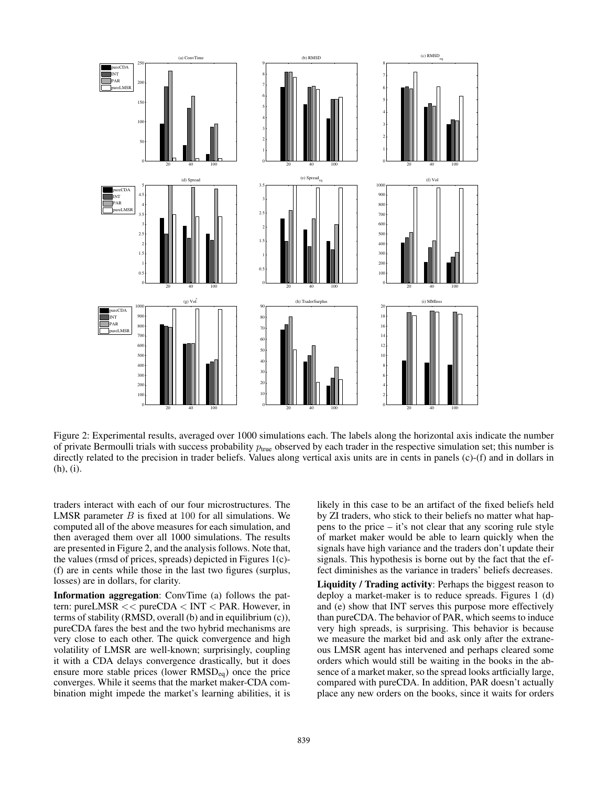

Figure 2: Experimental results, averaged over 1000 simulations each. The labels along the horizontal axis indicate the number of private Bermoulli trials with success probability  $p_{true}$  observed by each trader in the respective simulation set; this number is directly related to the precision in trader beliefs. Values along vertical axis units are in cents in panels (c)-(f) and in dollars in (h), (i).

traders interact with each of our four microstructures. The LMSR parameter  $B$  is fixed at 100 for all simulations. We computed all of the above measures for each simulation, and then averaged them over all 1000 simulations. The results are presented in Figure 2, and the analysis follows. Note that, the values (rmsd of prices, spreads) depicted in Figures 1(c)- (f) are in cents while those in the last two figures (surplus, losses) are in dollars, for clarity.

Information aggregation: ConvTime (a) follows the pattern: pureLMSR << pureCDA < INT < PAR. However, in terms of stability (RMSD, overall (b) and in equilibrium (c)), pureCDA fares the best and the two hybrid mechanisms are very close to each other. The quick convergence and high volatility of LMSR are well-known; surprisingly, coupling it with a CDA delays convergence drastically, but it does ensure more stable prices (lower  $RMSD<sub>eq</sub>$ ) once the price converges. While it seems that the market maker-CDA combination might impede the market's learning abilities, it is

likely in this case to be an artifact of the fixed beliefs held by ZI traders, who stick to their beliefs no matter what happens to the price – it's not clear that any scoring rule style of market maker would be able to learn quickly when the signals have high variance and the traders don't update their signals. This hypothesis is borne out by the fact that the effect diminishes as the variance in traders' beliefs decreases.

Liquidity / Trading activity: Perhaps the biggest reason to deploy a market-maker is to reduce spreads. Figures 1 (d) and (e) show that INT serves this purpose more effectively than pureCDA. The behavior of PAR, which seems to induce very high spreads, is surprising. This behavior is because we measure the market bid and ask only after the extraneous LMSR agent has intervened and perhaps cleared some orders which would still be waiting in the books in the absence of a market maker, so the spread looks artficially large, compared with pureCDA. In addition, PAR doesn't actually place any new orders on the books, since it waits for orders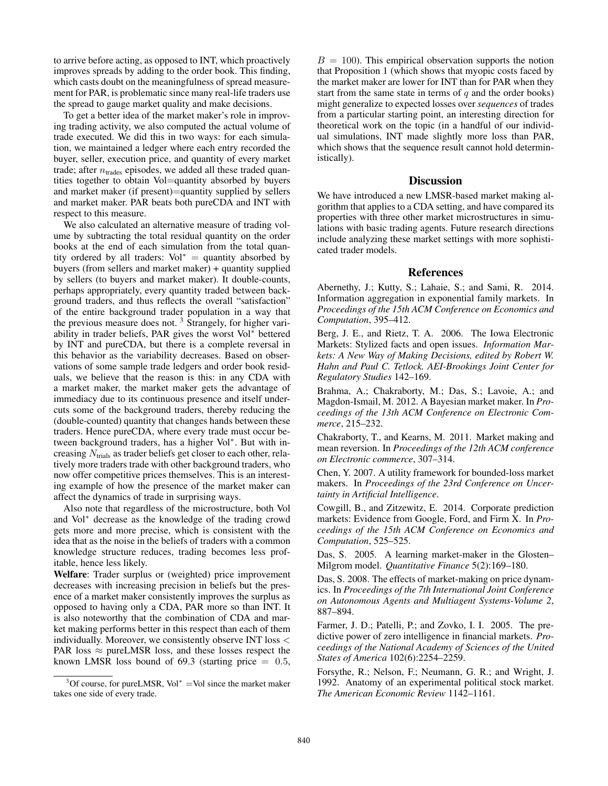to arrive before acting, as opposed to INT, which proactively improves spreads by adding to the order book. This finding, which casts doubt on the meaningfulness of spread measurement for PAR, is problematic since many real-life traders use the spread to gauge market quality and make decisions.

To get a better idea of the market maker's role in improving trading activity, we also computed the actual volume of trade executed. We did this in two ways: for each simulation, we maintained a ledger where each entry recorded the buyer, seller, execution price, and quantity of every market trade; after  $n_{\text{trades}}$  episodes, we added all these traded quantities together to obtain Vol=quantity absorbed by buyers and market maker (if present)=quantity supplied by sellers and market maker. PAR beats both pureCDA and INT with respect to this measure.

We also calculated an alternative measure of trading volume by subtracting the total residual quantity on the order books at the end of each simulation from the total quantity ordered by all traders: Vol<sup>\*</sup> = quantity absorbed by buyers (from sellers and market maker) + quantity supplied by sellers (to buyers and market maker). It double-counts, perhaps appropriately, every quantity traded between background traders, and thus reflects the overall "satisfaction" of the entire background trader population in a way that the previous measure does not. <sup>3</sup> Strangely, for higher variability in trader beliefs, PAR gives the worst Vol<sup>∗</sup> bettered by INT and pureCDA, but there is a complete reversal in this behavior as the variability decreases. Based on observations of some sample trade ledgers and order book residuals, we believe that the reason is this: in any CDA with a market maker, the market maker gets the advantage of immediacy due to its continuous presence and itself undercuts some of the background traders, thereby reducing the (double-counted) quantity that changes hands between these traders. Hence pureCDA, where every trade must occur between background traders, has a higher Vol<sup>∗</sup> . But with increasing  $N_{\text{trials}}$  as trader beliefs get closer to each other, relatively more traders trade with other background traders, who now offer competitive prices themselves. This is an interesting example of how the presence of the market maker can affect the dynamics of trade in surprising ways.

Also note that regardless of the microstructure, both Vol and Vol<sup>∗</sup> decrease as the knowledge of the trading crowd gets more and more precise, which is consistent with the idea that as the noise in the beliefs of traders with a common knowledge structure reduces, trading becomes less profitable, hence less likely.

Welfare: Trader surplus or (weighted) price improvement decreases with increasing precision in beliefs but the presence of a market maker consistently improves the surplus as opposed to having only a CDA, PAR more so than INT. It is also noteworthy that the combination of CDA and market making performs better in this respect than each of them individually. Moreover, we consistently observe INT loss < PAR loss  $\approx$  pureLMSR loss, and these losses respect the known LMSR loss bound of 69.3 (starting price  $= 0.5$ ,

 $B = 100$ ). This empirical observation supports the notion that Proposition 1 (which shows that myopic costs faced by the market maker are lower for INT than for PAR when they start from the same state in terms of  $q$  and the order books) might generalize to expected losses over *sequences* of trades from a particular starting point, an interesting direction for theoretical work on the topic (in a handful of our individual simulations, INT made slightly more loss than PAR, which shows that the sequence result cannot hold deterministically).

## **Discussion**

We have introduced a new LMSR-based market making algorithm that applies to a CDA setting, and have compared its properties with three other market microstructures in simulations with basic trading agents. Future research directions include analyzing these market settings with more sophisticated trader models.

## References

Abernethy, J.; Kutty, S.; Lahaie, S.; and Sami, R. 2014. Information aggregation in exponential family markets. In *Proceedings of the 15th ACM Conference on Economics and Computation*, 395–412.

Berg, J. E., and Rietz, T. A. 2006. The Iowa Electronic Markets: Stylized facts and open issues. *Information Markets: A New Way of Making Decisions, edited by Robert W. Hahn and Paul C. Tetlock. AEI-Brookings Joint Center for Regulatory Studies* 142–169.

Brahma, A.; Chakraborty, M.; Das, S.; Lavoie, A.; and Magdon-Ismail, M. 2012. A Bayesian market maker. In *Proceedings of the 13th ACM Conference on Electronic Commerce*, 215–232.

Chakraborty, T., and Kearns, M. 2011. Market making and mean reversion. In *Proceedings of the 12th ACM conference on Electronic commerce*, 307–314.

Chen, Y. 2007. A utility framework for bounded-loss market makers. In *Proceedings of the 23rd Conference on Uncertainty in Artificial Intelligence*.

Cowgill, B., and Zitzewitz, E. 2014. Corporate prediction markets: Evidence from Google, Ford, and Firm X. In *Proceedings of the 15th ACM Conference on Economics and Computation*, 525–525.

Das, S. 2005. A learning market-maker in the Glosten– Milgrom model. *Quantitative Finance* 5(2):169–180.

Das, S. 2008. The effects of market-making on price dynamics. In *Proceedings of the 7th International Joint Conference on Autonomous Agents and Multiagent Systems-Volume 2*, 887–894.

Farmer, J. D.; Patelli, P.; and Zovko, I. I. 2005. The predictive power of zero intelligence in financial markets. *Proceedings of the National Academy of Sciences of the United States of America* 102(6):2254–2259.

Forsythe, R.; Nelson, F.; Neumann, G. R.; and Wright, J. 1992. Anatomy of an experimental political stock market. *The American Economic Review* 1142–1161.

<sup>&</sup>lt;sup>3</sup>Of course, for pureLMSR, Vol<sup>\*</sup> =Vol since the market maker takes one side of every trade.